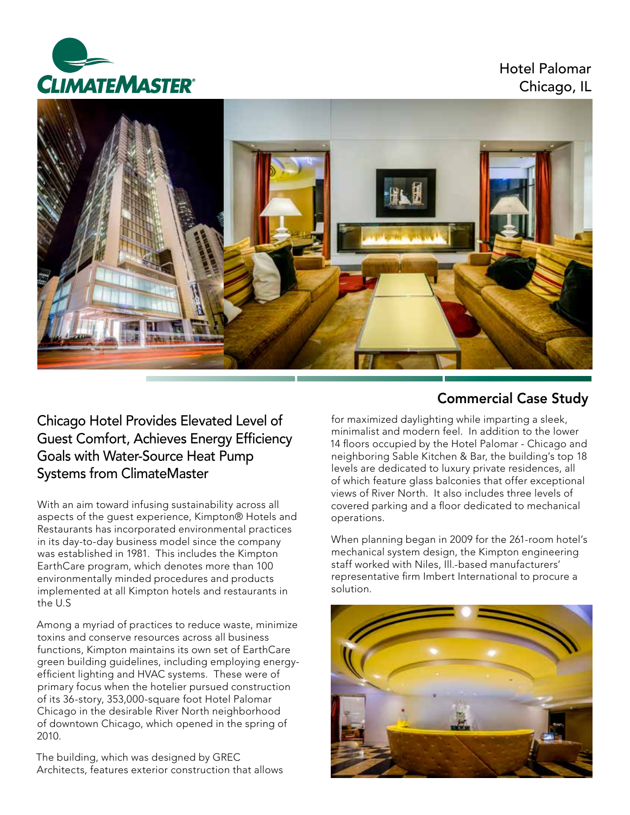

Hotel Palomar Chicago, IL



## Chicago Hotel Provides Elevated Level of Guest Comfort, Achieves Energy Efficiency Goals with Water-Source Heat Pump Systems from ClimateMaster

With an aim toward infusing sustainability across all aspects of the guest experience, Kimpton® Hotels and Restaurants has incorporated environmental practices in its day-to-day business model since the company was established in 1981. This includes the Kimpton EarthCare program, which denotes more than 100 environmentally minded procedures and products implemented at all Kimpton hotels and restaurants in the U.S

Among a myriad of practices to reduce waste, minimize toxins and conserve resources across all business functions, Kimpton maintains its own set of EarthCare green building guidelines, including employing energyefficient lighting and HVAC systems. These were of primary focus when the hotelier pursued construction of its 36-story, 353,000-square foot Hotel Palomar Chicago in the desirable River North neighborhood of downtown Chicago, which opened in the spring of 2010.

The building, which was designed by GREC Architects, features exterior construction that allows

# Commercial Case Study

for maximized daylighting while imparting a sleek, minimalist and modern feel. In addition to the lower 14 floors occupied by the Hotel Palomar - Chicago and neighboring Sable Kitchen & Bar, the building's top 18 levels are dedicated to luxury private residences, all of which feature glass balconies that offer exceptional views of River North. It also includes three levels of covered parking and a floor dedicated to mechanical operations.

When planning began in 2009 for the 261-room hotel's mechanical system design, the Kimpton engineering staff worked with Niles, Ill.-based manufacturers' representative firm Imbert International to procure a solution.

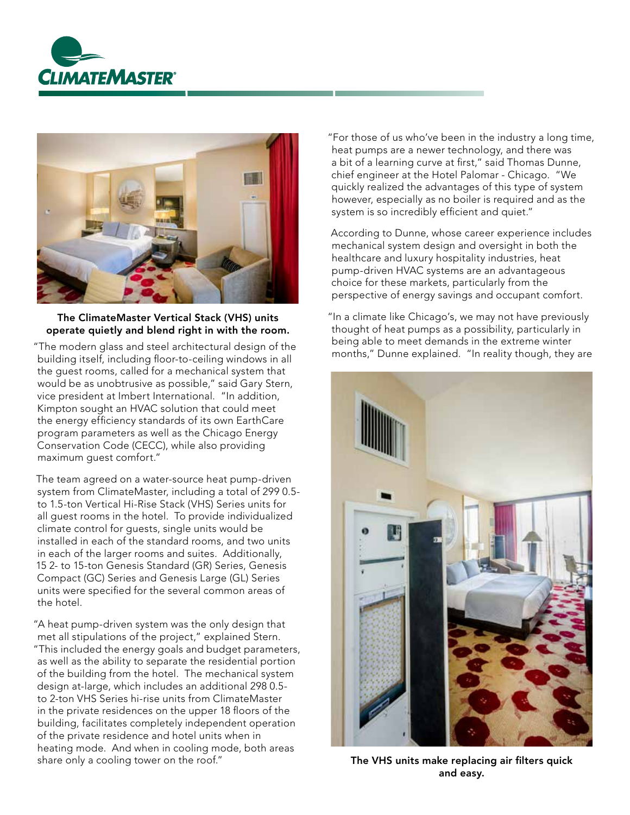



### The ClimateMaster Vertical Stack (VHS) units operate quietly and blend right in with the room.

building itself, including floor-to-ceiling windows in all the guest rooms, called for a mechanical system that would be as unobtrusive as possible," said Gary Stern, vice president at Imbert International. "In addition, Kimpton sought an HVAC solution that could meet the energy efficiency standards of its own EarthCare program parameters as well as the Chicago Energy Conservation Code (CECC), while also providing maximum guest comfort."

The team agreed on a water-source heat pump-driven system from ClimateMaster, including a total of 299 0.5 to 1.5-ton Vertical Hi-Rise Stack (VHS) Series units for all guest rooms in the hotel. To provide individualized climate control for guests, single units would be installed in each of the standard rooms, and two units in each of the larger rooms and suites. Additionally, 15 2- to 15-ton Genesis Standard (GR) Series, Genesis Compact (GC) Series and Genesis Large (GL) Series units were specified for the several common areas of the hotel.

"A heat pump-driven system was the only design that met all stipulations of the project," explained Stern. "This included the energy goals and budget parameters, as well as the ability to separate the residential portion of the building from the hotel. The mechanical system design at-large, which includes an additional 298 0.5 to 2-ton VHS Series hi-rise units from ClimateMaster in the private residences on the upper 18 floors of the building, facilitates completely independent operation of the private residence and hotel units when in heating mode. And when in cooling mode, both areas share only a cooling tower on the roof." The VHS units make replacing air filters quick

"For those of us who've been in the industry a long time, heat pumps are a newer technology, and there was a bit of a learning curve at first," said Thomas Dunne, chief engineer at the Hotel Palomar - Chicago. "We quickly realized the advantages of this type of system however, especially as no boiler is required and as the system is so incredibly efficient and quiet."

According to Dunne, whose career experience includes mechanical system design and oversight in both the healthcare and luxury hospitality industries, heat pump-driven HVAC systems are an advantageous choice for these markets, particularly from the perspective of energy savings and occupant comfort.

"In a climate like Chicago's, we may not have previously thought of heat pumps as a possibility, particularly in being able to meet demands in the extreme winter The modern glass and steel architectural design of the "The months," Dunne explained. "In reality though, they are "The months," Dunne explained. "In reality though, they are



and easy.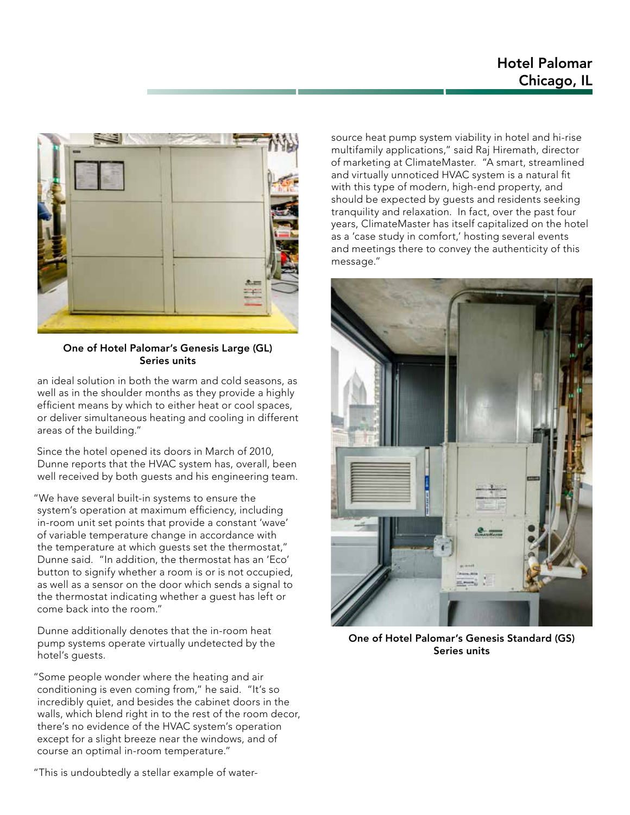### Hotel Palomar Chicago, IL



One of Hotel Palomar's Genesis Large (GL) Series units

an ideal solution in both the warm and cold seasons, as well as in the shoulder months as they provide a highly efficient means by which to either heat or cool spaces, or deliver simultaneous heating and cooling in different areas of the building."

Since the hotel opened its doors in March of 2010, Dunne reports that the HVAC system has, overall, been well received by both guests and his engineering team.

"We have several built-in systems to ensure the system's operation at maximum efficiency, including in-room unit set points that provide a constant 'wave' of variable temperature change in accordance with the temperature at which guests set the thermostat," Dunne said. "In addition, the thermostat has an 'Eco' button to signify whether a room is or is not occupied, as well as a sensor on the door which sends a signal to the thermostat indicating whether a guest has left or come back into the room."

Dunne additionally denotes that the in-room heat pump systems operate virtually undetected by the hotel's guests.

"Some people wonder where the heating and air conditioning is even coming from," he said. "It's so incredibly quiet, and besides the cabinet doors in the walls, which blend right in to the rest of the room decor, there's no evidence of the HVAC system's operation except for a slight breeze near the windows, and of course an optimal in-room temperature."

source heat pump system viability in hotel and hi-rise multifamily applications," said Raj Hiremath, director of marketing at ClimateMaster. "A smart, streamlined and virtually unnoticed HVAC system is a natural fit with this type of modern, high-end property, and should be expected by guests and residents seeking tranquility and relaxation. In fact, over the past four years, ClimateMaster has itself capitalized on the hotel as a 'case study in comfort,' hosting several events and meetings there to convey the authenticity of this message."



One of Hotel Palomar's Genesis Standard (GS) Series units

"This is undoubtedly a stellar example of water-